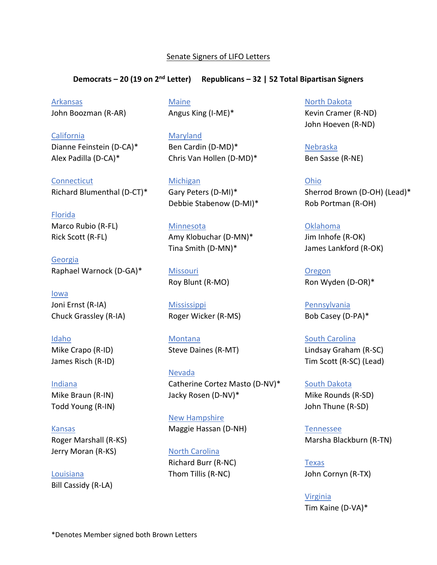## Senate Signers of LIFO Letters

## **Democrats – 20 (19 on 2nd Letter) Republicans – 32 | 52 Total Bipartisan Signers**

**Arkansas** John Boozman (R-AR)

California Dianne Feinstein (D-CA)\* Alex Padilla (D-CA)\*

**Connecticut** Richard Blumenthal (D-CT)\*

Florida

Marco Rubio (R-FL) Rick Scott (R-FL)

Georgia Raphael Warnock (D-GA)\*

Iowa Joni Ernst (R-IA) Chuck Grassley (R-IA)

Idaho Mike Crapo (R-ID) James Risch (R-ID)

Indiana Mike Braun (R-IN) Todd Young (R-IN)

Kansas Roger Marshall (R-KS) Jerry Moran (R-KS)

Louisiana Bill Cassidy (R-LA)

**Maine** Angus King (I-ME)\*

Maryland Ben Cardin (D-MD)\* Chris Van Hollen (D-MD)\*

Michigan Gary Peters (D-MI)\* Debbie Stabenow (D-MI)\*

**Minnesota** 

Amy Klobuchar (D-MN)\* Tina Smith (D-MN)\*

Missouri Roy Blunt (R-MO)

**Mississippi** Roger Wicker (R-MS)

Montana Steve Daines (R-MT)

Nevada Catherine Cortez Masto (D-NV)\* Jacky Rosen (D-NV)\*

New Hampshire Maggie Hassan (D-NH)

North Carolina Richard Burr (R-NC) Thom Tillis (R-NC)

North Dakota

Kevin Cramer (R-ND) John Hoeven (R-ND)

Nebraska Ben Sasse (R-NE)

Ohio Sherrod Brown (D-OH) (Lead)\* Rob Portman (R-OH)

Oklahoma Jim Inhofe (R-OK) James Lankford (R-OK)

Oregon Ron Wyden (D-OR)\*

Pennsylvania Bob Casey (D-PA)\*

South Carolina Lindsay Graham (R-SC) Tim Scott (R-SC) (Lead)

South Dakota Mike Rounds (R-SD) John Thune (R-SD)

Tennessee Marsha Blackburn (R-TN)

Texas John Cornyn (R-TX)

Virginia Tim Kaine (D-VA)\*